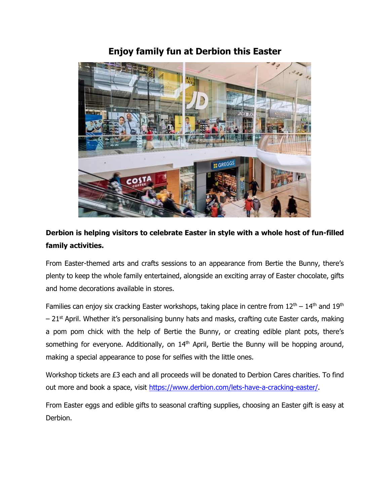## **Enjoy family fun at Derbion this Easter**



## **Derbion is helping visitors to celebrate Easter in style with a whole host of fun-filled family activities.**

From Easter-themed arts and crafts sessions to an appearance from Bertie the Bunny, there's plenty to keep the whole family entertained, alongside an exciting array of Easter chocolate, gifts and home decorations available in stores.

Families can enjoy six cracking Easter workshops, taking place in centre from  $12<sup>th</sup> - 14<sup>th</sup>$  and  $19<sup>th</sup>$  $-21$ <sup>st</sup> April. Whether it's personalising bunny hats and masks, crafting cute Easter cards, making a pom pom chick with the help of Bertie the Bunny, or creating edible plant pots, there's something for everyone. Additionally, on  $14<sup>th</sup>$  April, Bertie the Bunny will be hopping around, making a special appearance to pose for selfies with the little ones.

Workshop tickets are £3 each and all proceeds will be donated to Derbion Cares charities. To find out more and book a space, visit [https://www.derbion.com/lets-have-a-cracking-easter/.](https://www.derbion.com/lets-have-a-cracking-easter/)

From Easter eggs and edible gifts to seasonal crafting supplies, choosing an Easter gift is easy at Derbion.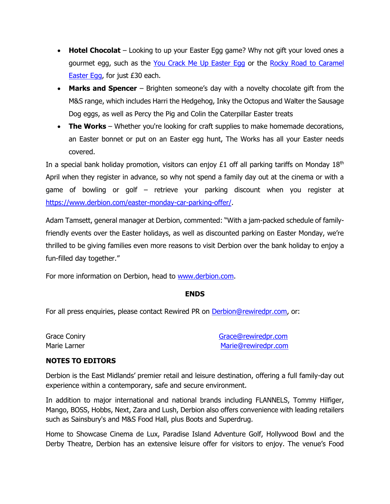- **Hotel Chocolat** Looking to up your Easter Egg game? Why not gift your loved ones a gourmet egg, such as the [You Crack Me Up Easter Egg](https://www.hotelchocolat.com/uk/shop/easter-eggs/you-crack-me-up.html) or the Rocky Road to Caramel [Easter Egg,](https://www.hotelchocolat.com/uk/shop/easter-eggs/rocky-road-to-caramel.html) for just £30 each.
- **Marks and Spencer** Brighten someone's day with a novelty chocolate gift from the M&S range, which includes Harri the Hedgehog, Inky the Octopus and Walter the Sausage Dog eggs, as well as Percy the Pig and Colin the Caterpillar Easter treats
- **The Works** Whether you're looking for craft supplies to make homemade decorations, an Easter bonnet or put on an Easter egg hunt, The Works has all your Easter needs covered.

In a special bank holiday promotion, visitors can enjoy  $E1$  off all parking tariffs on Monday  $18<sup>th</sup>$ April when they register in advance, so why not spend a family day out at the cinema or with a game of bowling or golf – retrieve your parking discount when you register at [https://www.derbion.com/easter-monday-car-parking-offer/.](https://www.derbion.com/easter-monday-car-parking-offer/)

Adam Tamsett, general manager at Derbion, commented: "With a jam-packed schedule of familyfriendly events over the Easter holidays, as well as discounted parking on Easter Monday, we're thrilled to be giving families even more reasons to visit Derbion over the bank holiday to enjoy a fun-filled day together."

For more information on Derbion, head to [www.derbion.com.](file:///C:/Users/Ely/Downloads/www.derbion.com)

## **ENDS**

For all press enquiries, please contact Rewired PR on [Derbion@rewiredpr.com,](mailto:Derbion@rewiredpr.com) or:

Grace Coniry Grace Coniry Grace Coniry Control of Control of Grace Coniry Grace Coniry Grace Control of Grace Control of Grace Control of Grace Control of Grace Control of Grace Control of Grace Control of Grace Control of Marie Larner Marie Larner Marie Larner Marie Larner Marie Larner Marie Larner Marie Larner Marie Larner Marie L

## **NOTES TO EDITORS**

Derbion is the East Midlands' premier retail and leisure destination, offering a full family-day out experience within a contemporary, safe and secure environment.

In addition to major international and national brands including FLANNELS, Tommy Hilfiger, Mango, BOSS, Hobbs, Next, Zara and Lush, Derbion also offers convenience with leading retailers such as Sainsbury's and M&S Food Hall, plus Boots and Superdrug.

Home to Showcase Cinema de Lux, Paradise Island Adventure Golf, Hollywood Bowl and the Derby Theatre, Derbion has an extensive leisure offer for visitors to enjoy. The venue's Food